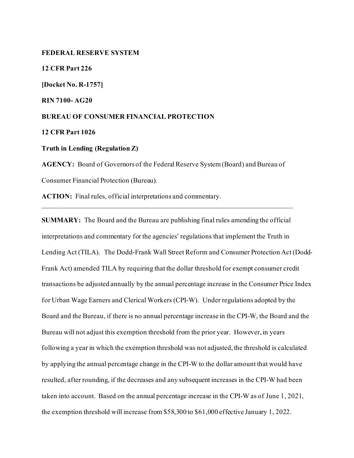#### **FEDERAL RESERVE SYSTEM**

**12 CFR Part 226 [Docket No. R-1757] RIN 7100- AG20 BUREAU OF CONSUMER FINANCIAL PROTECTION 12 CFR Part 1026 Truth in Lending (Regulation Z) AGENCY:** Board of Governors of the Federal Reserve System (Board) and Bureau of

Consumer Financial Protection (Bureau).

**ACTION:** Final rules, official interpretations and commentary.

**SUMMARY:** The Board and the Bureau are publishing final rules amending the official interpretations and commentary for the agencies' regulations that implement the Truth in Lending Act (TILA). The Dodd-Frank Wall Street Reform and Consumer Protection Act (Dodd-Frank Act) amended TILA by requiring that the dollar threshold for exempt consumer credit transactions be adjusted annually by the annual percentage increase in the Consumer Price Index for Urban Wage Earners and Clerical Workers (CPI-W). Under regulations adopted by the Board and the Bureau, if there is no annual percentage increase in the CPI-W, the Board and the Bureau will not adjust this exemption threshold from the prior year. However, in years following a year in which the exemption threshold was not adjusted, the threshold is calculated by applying the annual percentage change in the CPI-W to the dollar amount that would have resulted, after rounding, if the decreases and any subsequent increases in the CPI-W had been taken into account. Based on the annual percentage increase in the CPI-W as of June 1, 2021, the exemption threshold will increase from \$58,300 to \$61,000 effective January 1, 2022.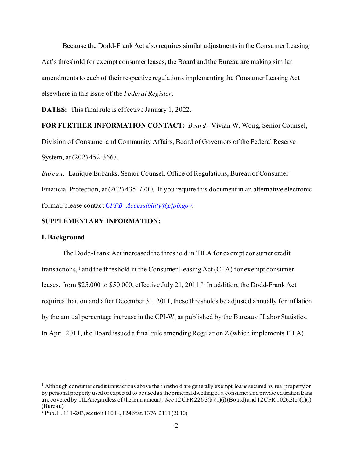Because the Dodd-Frank Act also requires similar adjustments in the Consumer Leasing Act's threshold for exempt consumer leases, the Board and the Bureau are making similar amendments to each of their respective regulations implementing the Consumer Leasing Act elsewhere in this issue of the *Federal Register*.

**DATES:** This final rule is effective January 1, 2022.

# **FOR FURTHER INFORMATION CONTACT:** *Board:* Vivian W. Wong, Senior Counsel,

Division of Consumer and Community Affairs, Board of Governors of the Federal Reserve System, at (202) 452-3667.

*Bureau:* Lanique Eubanks, Senior Counsel, Office of Regulations, Bureau of Consumer Financial Protection, at (202) 435-7700. If you require this document in an alternative electronic format, please contact *[CFPB\\_Accessibility@cfpb.gov](mailto:CFPB_Accessibility@cfpb.gov)*.

# **SUPPLEMENTARY INFORMATION:**

### **I. Background**

The Dodd-Frank Act increased the threshold in TILA for exempt consumer credit transactions, [1](#page-1-0) and the threshold in the Consumer Leasing Act (CLA) for exempt consumer leases, from \$25,000 to \$50,000, effective July 21, 2011.[2](#page-1-1) In addition, the Dodd-Frank Act requires that, on and after December 31, 2011, these thresholds be adjusted annually for inflation by the annual percentage increase in the CPI-W, as published by the Bureau of Labor Statistics. In April 2011, the Board issued a final rule amending Regulation Z (which implements TILA)

<span id="page-1-0"></span> $<sup>1</sup>$  Although consumer credit transactions above the threshold are generally exempt, loans secured by real property or</sup> by personal property used or expected to be used as the principal dwelling of a consumer and private education loans are covered by TILA regardless of the loan amount. *See* 12 CFR 226.3(b)(1)(i) (Board) and 12 CFR 1026.3(b)(1)(i) (Bureau).

<span id="page-1-1"></span> $2^{2}$  Pub. L. 111-203, section 1100E, 124 Stat. 1376, 2111 (2010).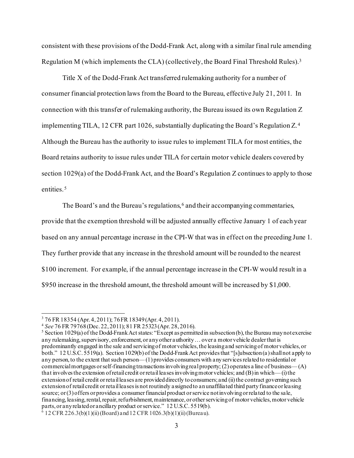consistent with these provisions of the Dodd-Frank Act, along with a similar final rule amending Regulation M (which implements the CLA) (collectively, the Board Final Threshold Rules).[3](#page-2-0) 

Title X of the Dodd-Frank Act transferred rulemaking authority for a number of consumer financial protection laws from the Board to the Bureau, effective July 21, 2011. In connection with this transfer of rulemaking authority, the Bureau issued its own Regulation Z implementing TILA, 12 CFR part 1026, substantially duplicating the Board's Regulation Z.[4](#page-2-1) Although the Bureau has the authority to issue rules to implement TILA for most entities, the Board retains authority to issue rules under TILA for certain motor vehicle dealers covered by section 1029(a) of the Dodd-Frank Act, and the Board's Regulation Z continues to apply to those entities.<sup>[5](#page-2-2)</sup>

The Board's and the Bureau's regulations,  $6$  and their accompanying commentaries, provide that the exemption threshold will be adjusted annually effective January 1 of each year based on any annual percentage increase in the CPI-W that was in effect on the preceding June 1. They further provide that any increase in the threshold amount will be rounded to the nearest \$100 increment. For example, if the annual percentage increase in the CPI-W would result in a \$950 increase in the threshold amount, the threshold amount will be increased by \$1,000.

<span id="page-2-0"></span><sup>&</sup>lt;sup>3</sup> 76 FR 18354 (Apr. 4, 2011); 76 FR 18349 (Apr. 4, 2011).<br><sup>4</sup> See 76 FR 79768 (Dec. 22, 2011); 81 FR 25323 (Apr. 28, 2016).

<span id="page-2-1"></span>

<span id="page-2-2"></span><sup>&</sup>lt;sup>5</sup> Section 1029(a) of the Dodd-Frank Act states: "Except as permitted in subsection (b), the Bureau may not exercise any rulemaking, supervisory, enforcement, or any other authority ... over a motor vehicle dealer that is predominantly engaged in the sale and servicing of motor vehicles, the leasing and servicing of motor vehicles, or both." 12 U.S.C. 5519(a). Section 1029(b) of the Dodd-Frank Act provides that "[s]ubsection (a) shall not apply to any person, to the extent that such person—(1) provides consumers with any services related to residential or commercial mortgages or self-financing transactions involving real property; (2) operates a line of business—(A) that involves the extension of retail credit or retail leases involving motor vehicles; and (B) in which—(i) the extension of retail credit or retail leases are provided directly to consumers; and (ii) the contract governing such extension of retail credit or retail leases is not routinely assigned to an unaffiliated third party finance or leasing source; or (3) offers or provides a consumer financial product or service not involving or related to the sale, financing, leasing, rental, repair, refurbishment, maintenance, or other servicing of motor vehicles, motor vehicle parts, or any related or ancillary product or service." 12 U.S.C. 5519(b).

<span id="page-2-3"></span> $6$  12 CFR 226.3(b)(1)(ii) (Board) and 12 CFR 1026.3(b)(1)(ii) (Bureau).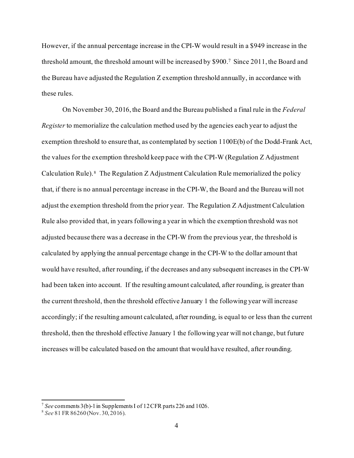However, if the annual percentage increase in the CPI-W would result in a \$949 increase in the threshold amount, the threshold amount will be increased by \$900.[7](#page-3-0) Since 2011, the Board and the Bureau have adjusted the Regulation Z exemption threshold annually, in accordance with these rules.

On November 30, 2016, the Board and the Bureau published a final rule in the *Federal Register* to memorialize the calculation method used by the agencies each year to adjust the exemption threshold to ensure that, as contemplated by section 1100E(b) of the Dodd-Frank Act, the values for the exemption threshold keep pace with the CPI-W (Regulation Z Adjustment Calculation Rule). [8](#page-3-1) The Regulation Z Adjustment Calculation Rule memorialized the policy that, if there is no annual percentage increase in the CPI-W, the Board and the Bureau will not adjust the exemption threshold from the prior year. The Regulation Z Adjustment Calculation Rule also provided that, in years following a year in which the exemption threshold was not adjusted because there was a decrease in the CPI-W from the previous year, the threshold is calculated by applying the annual percentage change in the CPI-W to the dollar amount that would have resulted, after rounding, if the decreases and any subsequent increases in the CPI-W had been taken into account. If the resulting amount calculated, after rounding, is greater than the current threshold, then the threshold effective January 1 the following year will increase accordingly; if the resulting amount calculated, after rounding, is equal to or less than the current threshold, then the threshold effective January 1 the following year will not change, but future increases will be calculated based on the amount that would have resulted, after rounding.

<span id="page-3-0"></span><sup>7</sup> *See* comments 3(b)-1 in Supplements I of 12 CFR parts 226 and 1026.

<span id="page-3-1"></span><sup>8</sup> *See* 81 FR 86260 (Nov. 30, 2016).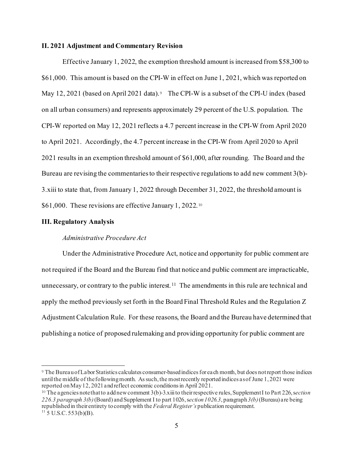### **II. 2021 Adjustment and Commentary Revision**

Effective January 1, 2022, the exemption threshold amount is increased from \$58,300 to \$61,000. This amount is based on the CPI-W in effect on June 1, 2021, which was reported on May 12, 2021 (based on April 2021 data). The CPI-W is a subset of the CPI-U index (based on all urban consumers) and represents approximately 29 percent of the U.S. population. The CPI-W reported on May 12, 2021 reflects a 4.7 percent increase in the CPI-W from April 2020 to April 2021. Accordingly, the 4.7 percent increase in the CPI-W from April 2020 to April 2021 results in an exemption threshold amount of \$61,000, after rounding. The Board and the Bureau are revising the commentaries to their respective regulations to add new comment 3(b)- 3.xiii to state that, from January 1, 2022 through December 31, 2022, the threshold amount is \$61,000. These revisions are effective January 1, 2022.<sup>[10](#page-4-1)</sup>

#### **III. Regulatory Analysis**

### *Administrative Procedure Act*

Under the Administrative Procedure Act, notice and opportunity for public comment are not required if the Board and the Bureau find that notice and public comment are impracticable, unnecessary, or contrary to the public interest. [11](#page-4-2) The amendments in this rule are technical and apply the method previously set forth in the Board Final Threshold Rules and the Regulation Z Adjustment Calculation Rule. For these reasons, the Board and the Bureau have determined that publishing a notice of proposed rulemaking and providing opportunity for public comment are

<span id="page-4-0"></span><sup>9</sup> The Bureau of Labor Statistics calculates consumer-based indices for each month, but does not report those indices until the middle of the followingmonth. As such, the most recently reported indices as of June 1, 2021 were reported on May 12, 2021 and reflect economic conditions in April 2021.

<span id="page-4-2"></span><span id="page-4-1"></span><sup>10</sup> The agencies note that to add new comment 3(b)-3.xiiito their respective rules, Supplement I to Part 226, s*ection 226.3 paragraph 3(b)* (Board) and Supplement I to part 1026, s*ection 1026.3*, paragraph *3(b)* (Bureau) are being republished in their entirety to comply with the *Federal Register's* publication requirement.  $11\,$  5 U.S.C. 553(b)(B).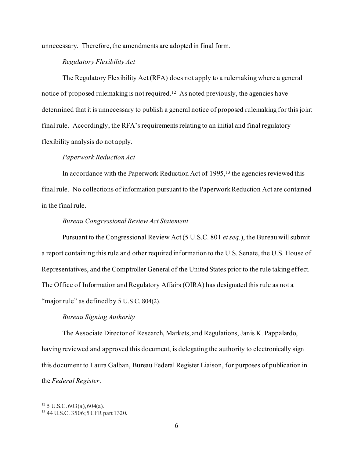unnecessary. Therefore, the amendments are adopted in final form.

# *Regulatory Flexibility Act*

The Regulatory Flexibility Act (RFA) does not apply to a rulemaking where a general notice of proposed rulemaking is not required.<sup>12</sup> As noted previously, the agencies have determined that it is unnecessary to publish a general notice of proposed rulemaking for this joint final rule. Accordingly, the RFA's requirements relating to an initial and final regulatory flexibility analysis do not apply.

### *Paperwork Reduction Act*

In accordance with the Paperwork Reduction Act of  $1995$ , <sup>13</sup> the agencies reviewed this final rule. No collections of information pursuant to the Paperwork Reduction Act are contained in the final rule.

#### *Bureau Congressional Review Act Statement*

Pursuant to the Congressional Review Act (5 U.S.C. 801 *et seq.*), the Bureau will submit a report containing this rule and other required information to the U.S. Senate, the U.S. House of Representatives, and the Comptroller General of the United States prior to the rule taking effect. The Office of Information and Regulatory Affairs (OIRA) has designated this rule as not a "major rule" as defined by 5 U.S.C. 804(2).

# *Bureau Signing Authority*

The Associate Director of Research, Markets, and Regulations, Janis K. Pappalardo, having reviewed and approved this document, is delegating the authority to electronically sign this document to Laura Galban, Bureau Federal Register Liaison, for purposes of publication in the *Federal Register*.

<span id="page-5-0"></span> $12$  5 U.S.C. 603(a), 604(a).

<span id="page-5-1"></span><sup>&</sup>lt;sup>13</sup> 44 U.S.C. 3506; 5 CFR part 1320.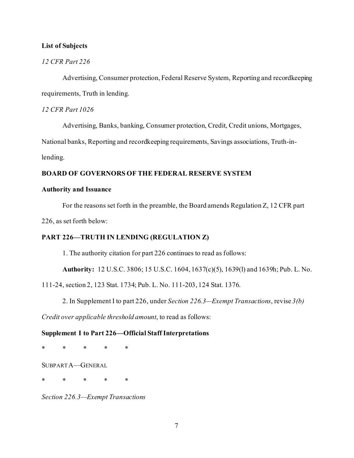## **List of Subjects**

# *12 CFR Part 226*

Advertising, Consumer protection, Federal Reserve System, Reporting and recordkeeping requirements, Truth in lending.

# *12 CFR Part 1026*

Advertising, Banks, banking, Consumer protection, Credit, Credit unions, Mortgages,

National banks, Reporting and recordkeeping requirements, Savings associations, Truth-in-

lending.

### **BOARD OF GOVERNORS OF THE FEDERAL RESERVE SYSTEM**

### **Authority and Issuance**

For the reasons set forth in the preamble, the Board amends Regulation Z, 12 CFR part

226, as set forth below:

### **PART 226—TRUTH IN LENDING (REGULATION Z)**

1. The authority citation for part 226 continues to read as follows:

**Authority:** 12 U.S.C. 3806; 15 U.S.C. 1604, 1637(c)(5), 1639(l) and 1639h; Pub. L. No.

111-24, section 2, 123 Stat. 1734; Pub. L. No. 111-203, 124 Stat. 1376.

2. In Supplement I to part 226, under *Section 226.3—Exempt Transactions*, revise *3(b)* 

*Credit over applicable threshold amount*, to read as follows:

### **Supplement I to Part 226—Official Staff Interpretations**

\* \* \* \* \*

SUBPART A—GENERAL

\* \* \* \* \*

*Section 226.3—Exempt Transactions*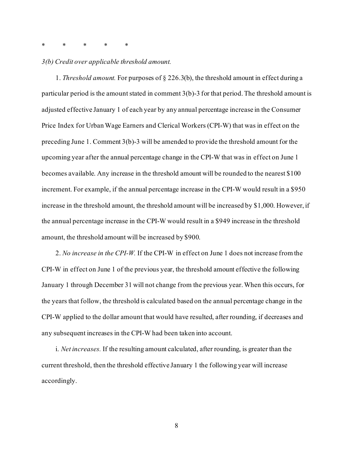# \* \* \* \* \*

#### *3(b) Credit over applicable threshold amount.*

1. *Threshold amount.* For purposes of § 226.3(b), the threshold amount in effect during a particular period is the amount stated in comment 3(b)-3 for that period. The threshold amount is adjusted effective January 1 of each year by any annual percentage increase in the Consumer Price Index for Urban Wage Earners and Clerical Workers (CPI-W) that was in effect on the preceding June 1. Comment 3(b)-3 will be amended to provide the threshold amount for the upcoming year after the annual percentage change in the CPI-W that was in effect on June 1 becomes available. Any increase in the threshold amount will be rounded to the nearest \$100 increment. For example, if the annual percentage increase in the CPI-W would result in a \$950 increase in the threshold amount, the threshold amount will be increased by \$1,000. However, if the annual percentage increase in the CPI-W would result in a \$949 increase in the threshold amount, the threshold amount will be increased by \$900.

2. *No increase in the CPI-W.* If the CPI-W in effect on June 1 does not increase from the CPI-W in effect on June 1 of the previous year, the threshold amount effective the following January 1 through December 31 will not change from the previous year. When this occurs, for the years that follow, the threshold is calculated based on the annual percentage change in the CPI-W applied to the dollar amount that would have resulted, after rounding, if decreases and any subsequent increases in the CPI-W had been taken into account.

i. *Net increases.* If the resulting amount calculated, after rounding, is greater than the current threshold, then the threshold effective January 1 the following year will increase accordingly.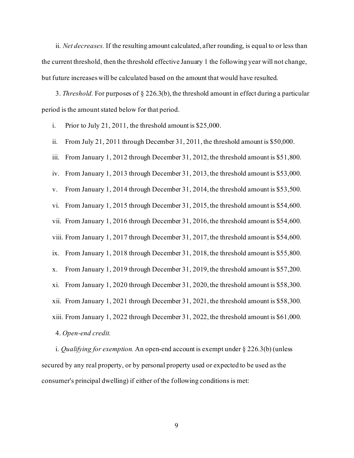ii. *Net decreases.* If the resulting amount calculated, after rounding, is equal to or less than the current threshold, then the threshold effective January 1 the following year will not change, but future increases will be calculated based on the amount that would have resulted.

3. *Threshold.* For purposes of § 226.3(b), the threshold amount in effect during a particular period is the amount stated below for that period.

i. Prior to July 21, 2011, the threshold amount is \$25,000.

ii. From July 21, 2011 through December 31, 2011, the threshold amount is \$50,000.

iii. From January 1, 2012 through December 31, 2012, the threshold amount is \$51,800.

iv. From January 1, 2013 through December 31, 2013, the threshold amount is \$53,000.

v. From January 1, 2014 through December 31, 2014, the threshold amount is \$53,500.

vi. From January 1, 2015 through December 31, 2015, the threshold amount is \$54,600.

vii. From January 1, 2016 through December 31, 2016, the threshold amount is \$54,600.

viii. From January 1, 2017 through December 31, 2017, the threshold amount is \$54,600.

ix. From January 1, 2018 through December 31, 2018, the threshold amount is \$55,800.

x. From January 1, 2019 through December 31, 2019, the threshold amount is \$57,200.

xi. From January 1, 2020 through December 31, 2020, the threshold amount is \$58,300.

xii. From January 1, 2021 through December 31, 2021, the threshold amount is \$58,300.

xiii. From January 1, 2022 through December 31, 2022, the threshold amount is \$61,000.

4. *Open-end credit.*

i. *Qualifying for exemption.* An open-end account is exempt under § 226.3(b) (unless secured by any real property, or by personal property used or expected to be used as the consumer's principal dwelling) if either of the following conditions is met: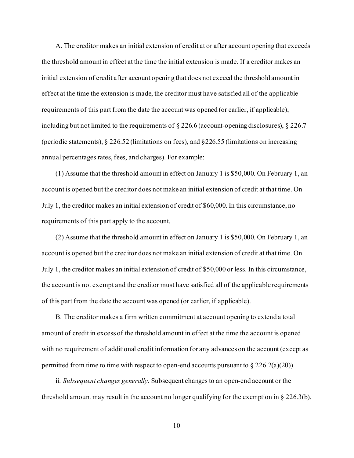A. The creditor makes an initial extension of credit at or after account opening that exceeds the threshold amount in effect at the time the initial extension is made. If a creditor makes an initial extension of credit after account opening that does not exceed the threshold amount in effect at the time the extension is made, the creditor must have satisfied all of the applicable requirements of this part from the date the account was opened (or earlier, if applicable), including but not limited to the requirements of § 226.6 (account-opening disclosures), § 226.7 (periodic statements), § 226.52 (limitations on fees), and §226.55 (limitations on increasing annual percentages rates, fees, and charges). For example:

(1) Assume that the threshold amount in effect on January 1 is \$50,000. On February 1, an account is opened but the creditor does not make an initial extension of credit at that time. On July 1, the creditor makes an initial extension of credit of \$60,000. In this circumstance, no requirements of this part apply to the account.

(2) Assume that the threshold amount in effect on January 1 is \$50,000. On February 1, an account is opened but the creditor does not make an initial extension of credit at that time. On July 1, the creditor makes an initial extension of credit of \$50,000 or less. In this circumstance, the account is not exempt and the creditor must have satisfied all of the applicable requirements of this part from the date the account was opened (or earlier, if applicable).

B. The creditor makes a firm written commitment at account opening to extend a total amount of credit in excess of the threshold amount in effect at the time the account is opened with no requirement of additional credit information for any advances on the account (except as permitted from time to time with respect to open-end accounts pursuant to  $\S 226.2(a)(20)$ .

ii. *Subsequent changes generally.* Subsequent changes to an open-end account or the threshold amount may result in the account no longer qualifying for the exemption in  $\S 226.3(b)$ .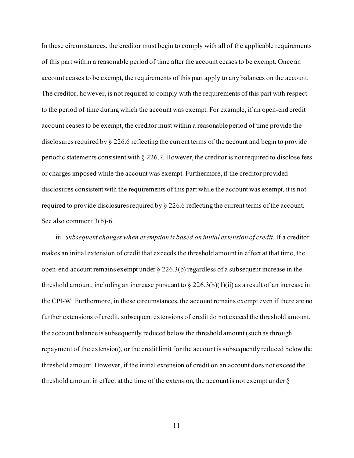In these circumstances, the creditor must begin to comply with all of the applicable requirements of this part within a reasonable period of time after the account ceases to be exempt. Once an account ceases to be exempt, the requirements of this part apply to any balances on the account. The creditor, however, is not required to comply with the requirements of this part with respect to the period of time during which the account was exempt. For example, if an open-end credit account ceases to be exempt, the creditor must within a reasonable period of time provide the disclosures required by § 226.6 reflecting the current terms of the account and begin to provide periodic statements consistent with § 226.7. However, the creditor is not required to disclose fees or charges imposed while the account was exempt. Furthermore, if the creditor provided disclosures consistent with the requirements of this part while the account was exempt, it is not required to provide disclosures required by  $\S 226.6$  reflecting the current terms of the account. See also comment 3(b)-6.

iii. *Subsequent changes when exemption is based on initial extension of credit.* If a creditor makes an initial extension of credit that exceeds the threshold amount in effect at that time, the open-end account remains exempt under § 226.3(b) regardless of a subsequent increase in the threshold amount, including an increase pursuant to  $\S 226.3(b)(1)(ii)$  as a result of an increase in the CPI-W. Furthermore, in these circumstances, the account remains exempt even if there are no further extensions of credit, subsequent extensions of credit do not exceed the threshold amount, the account balance is subsequently reduced below the threshold amount (such as through repayment of the extension), or the credit limit for the account is subsequently reduced below the threshold amount. However, if the initial extension of credit on an account does not exceed the threshold amount in effect at the time of the extension, the account is not exempt under §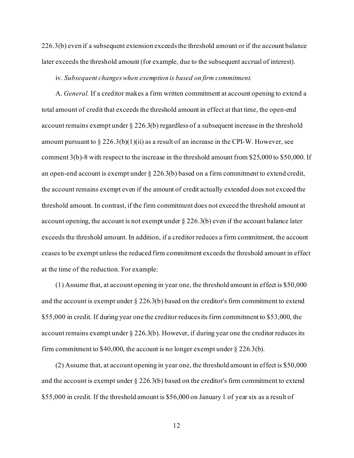226.3(b) even if a subsequent extension exceeds the threshold amount or if the account balance later exceeds the threshold amount (for example, due to the subsequent accrual of interest).

#### iv. *Subsequent changes when exemption is based on firm commitment.*

A. *General.* If a creditor makes a firm written commitment at account opening to extend a total amount of credit that exceeds the threshold amount in effect at that time, the open-end account remains exempt under  $\S 226.3(b)$  regardless of a subsequent increase in the threshold amount pursuant to  $\S 226.3(b)(1)(ii)$  as a result of an increase in the CPI-W. However, see comment 3(b)-8 with respect to the increase in the threshold amount from \$25,000 to \$50,000. If an open-end account is exempt under  $\S 226.3(b)$  based on a firm commitment to extend credit, the account remains exempt even if the amount of credit actually extended does not exceed the threshold amount. In contrast, if the firm commitment does not exceed the threshold amount at account opening, the account is not exempt under  $\S 226.3(b)$  even if the account balance later exceeds the threshold amount. In addition, if a creditor reduces a firm commitment, the account ceases to be exempt unless the reduced firm commitment exceeds the threshold amount in effect at the time of the reduction. For example:

(1) Assume that, at account opening in year one, the threshold amount in effect is \$50,000 and the account is exempt under § 226.3(b) based on the creditor's firm commitment to extend \$55,000 in credit. If during year one the creditor reduces its firm commitment to \$53,000, the account remains exempt under  $\S 226.3(b)$ . However, if during year one the creditor reduces its firm commitment to \$40,000, the account is no longer exempt under  $\S 226.3(b)$ .

(2) Assume that, at account opening in year one, the threshold amount in effect is \$50,000 and the account is exempt under  $\S 226.3(b)$  based on the creditor's firm commitment to extend \$55,000 in credit. If the threshold amount is \$56,000 on January 1 of year six as a result of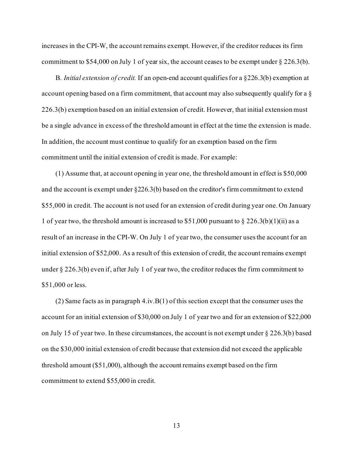increases in the CPI-W, the account remains exempt. However, if the creditor reduces its firm commitment to \$54,000 on July 1 of year six, the account ceases to be exempt under § 226.3(b).

B. *Initial extension of credit.* If an open-end account qualifies for a §226.3(b) exemption at account opening based on a firm commitment, that account may also subsequently qualify for a § 226.3(b) exemption based on an initial extension of credit. However, that initial extension must be a single advance in excess of the threshold amount in effect at the time the extension is made. In addition, the account must continue to qualify for an exemption based on the firm commitment until the initial extension of credit is made. For example:

(1) Assume that, at account opening in year one, the threshold amount in effect is \$50,000 and the account is exempt under §226.3(b) based on the creditor's firm commitment to extend \$55,000 in credit. The account is not used for an extension of credit during year one. On January 1 of year two, the threshold amount is increased to \$51,000 pursuant to  $\S 226.3(b)(1)(ii)$  as a result of an increase in the CPI-W. On July 1 of year two, the consumer uses the account for an initial extension of \$52,000. As a result of this extension of credit, the account remains exempt under § 226.3(b) even if, after July 1 of year two, the creditor reduces the firm commitment to \$51,000 or less.

(2) Same facts as in paragraph  $4.i\nu.B(1)$  of this section except that the consumer uses the account for an initial extension of \$30,000 on July 1 of year two and for an extension of \$22,000 on July 15 of year two. In these circumstances, the account is not exempt under  $\S 226.3(b)$  based on the \$30,000 initial extension of credit because that extension did not exceed the applicable threshold amount (\$51,000), although the account remains exempt based on the firm commitment to extend \$55,000 in credit.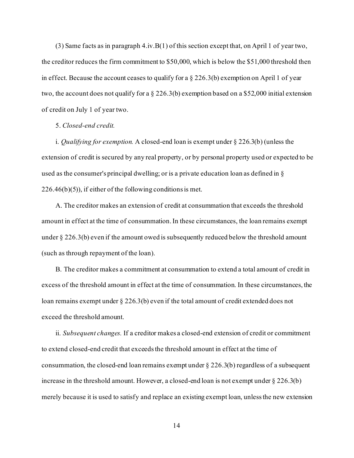(3) Same facts as in paragraph  $4.iv.B(1)$  of this section except that, on April 1 of year two, the creditor reduces the firm commitment to \$50,000, which is below the \$51,000 threshold then in effect. Because the account ceases to qualify for a  $\S 226.3(b)$  exemption on April 1 of year two, the account does not qualify for a § 226.3(b) exemption based on a \$52,000 initial extension of credit on July 1 of year two.

### 5. *Closed-end credit.*

i. *Qualifying for exemption.* A closed-end loan is exempt under § 226.3(b) (unless the extension of credit is secured by any real property, or by personal property used or expected to be used as the consumer's principal dwelling; or is a private education loan as defined in §  $226.46(b)(5)$ , if either of the following conditions is met.

A. The creditor makes an extension of credit at consummation that exceeds the threshold amount in effect at the time of consummation. In these circumstances, the loan remains exempt under § 226.3(b) even if the amount owed is subsequently reduced below the threshold amount (such as through repayment of the loan).

B. The creditor makes a commitment at consummation to extend a total amount of credit in excess of the threshold amount in effect at the time of consummation. In these circumstances, the loan remains exempt under § 226.3(b) even if the total amount of credit extended does not exceed the threshold amount.

ii. *Subsequent changes.* If a creditor makes a closed-end extension of credit or commitment to extend closed-end credit that exceeds the threshold amount in effect at the time of consummation, the closed-end loan remains exempt under  $\S 226.3(b)$  regardless of a subsequent increase in the threshold amount. However, a closed-end loan is not exempt under  $\S 226.3(b)$ merely because it is used to satisfy and replace an existing exempt loan, unless the new extension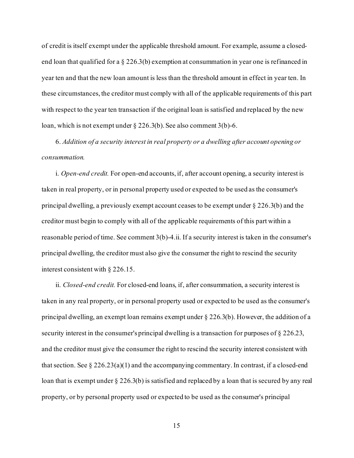of credit is itself exempt under the applicable threshold amount. For example, assume a closedend loan that qualified for a § 226.3(b) exemption at consummation in year one is refinanced in year ten and that the new loan amount is less than the threshold amount in effect in year ten. In these circumstances, the creditor must comply with all of the applicable requirements of this part with respect to the year ten transaction if the original loan is satisfied and replaced by the new loan, which is not exempt under § 226.3(b). See also comment 3(b)-6.

6. *Addition of a security interest in real property or a dwelling after account opening or consummation.*

i. *Open-end credit.* For open-end accounts, if, after account opening, a security interest is taken in real property, or in personal property used or expected to be used as the consumer's principal dwelling, a previously exempt account ceases to be exempt under § 226.3(b) and the creditor must begin to comply with all of the applicable requirements of this part within a reasonable period of time. See comment 3(b)-4.ii. If a security interest is taken in the consumer's principal dwelling, the creditor must also give the consumer the right to rescind the security interest consistent with § 226.15.

ii. *Closed-end credit.* For closed-end loans, if, after consummation, a security interest is taken in any real property, or in personal property used or expected to be used as the consumer's principal dwelling, an exempt loan remains exempt under § 226.3(b). However, the addition of a security interest in the consumer's principal dwelling is a transaction for purposes of § 226.23, and the creditor must give the consumer the right to rescind the security interest consistent with that section. See  $\S 226.23(a)(1)$  and the accompanying commentary. In contrast, if a closed-end loan that is exempt under § 226.3(b) is satisfied and replaced by a loan that is secured by any real property, or by personal property used or expected to be used as the consumer's principal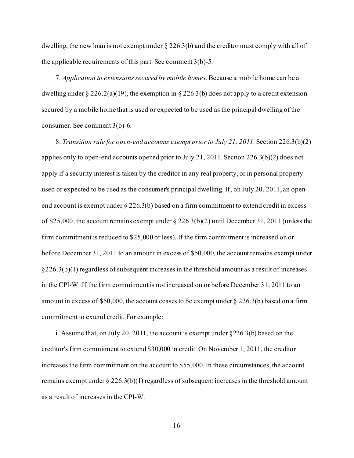dwelling, the new loan is not exempt under  $\S 226.3(b)$  and the creditor must comply with all of the applicable requirements of this part. See comment 3(b)-5.

7. *Application to extensions secured by mobile homes.*Because a mobile home can be a dwelling under § 226.2(a)(19), the exemption in § 226.3(b) does not apply to a credit extension secured by a mobile home that is used or expected to be used as the principal dwelling of the consumer. See comment 3(b)-6.

8. *Transition rule for open-end accounts exempt prior to July 21, 2011.* Section 226.3(b)(2) applies only to open-end accounts opened prior to July 21, 2011. Section 226.3(b)(2) does not apply if a security interest is taken by the creditor in any real property, or in personal property used or expected to be used as the consumer's principal dwelling. If, on July 20, 2011, an openend account is exempt under § 226.3(b) based on a firm commitment to extend credit in excess of \$25,000, the account remains exempt under  $\S$  226.3(b)(2) until December 31, 2011 (unless the firm commitment is reduced to \$25,000 or less). If the firm commitment is increased on or before December 31, 2011 to an amount in excess of \$50,000, the account remains exempt under §226.3(b)(1) regardless of subsequent increases in the threshold amount as a result of increases in the CPI-W. If the firm commitment is not increased on or before December 31, 2011 to an amount in excess of \$50,000, the account ceases to be exempt under § 226.3(b) based on a firm commitment to extend credit. For example:

i. Assume that, on July 20, 2011, the account is exempt under §226.3(b) based on the creditor's firm commitment to extend \$30,000 in credit. On November 1, 2011, the creditor increases the firm commitment on the account to \$55,000. In these circumstances, the account remains exempt under  $\S 226.3(b)(1)$  regardless of subsequent increases in the threshold amount as a result of increases in the CPI-W.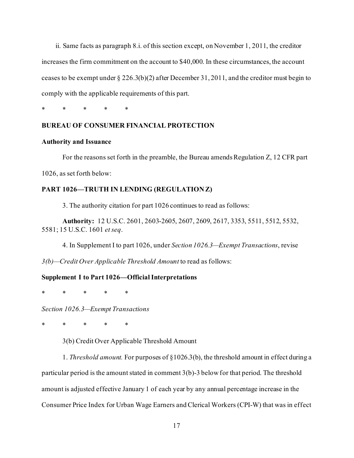ii. Same facts as paragraph 8.i. of this section except, on November 1, 2011, the creditor increases the firm commitment on the account to \$40,000. In these circumstances, the account ceases to be exempt under  $\S 226.3(b)(2)$  after December 31, 2011, and the creditor must begin to comply with the applicable requirements of this part.

\* \* \* \* \*

# **BUREAU OF CONSUMER FINANCIAL PROTECTION**

### **Authority and Issuance**

For the reasons set forth in the preamble, the Bureau amends Regulation Z, 12 CFR part 1026, as set forth below:

# **PART 1026—TRUTH IN LENDING (REGULATION Z)**

3. The authority citation for part 1026 continues to read as follows:

**Authority:** 12 U.S.C. 2601, 2603-2605, 2607, 2609, 2617, 3353, 5511, 5512, 5532, 5581; 15 U.S.C. 1601 *et seq*.

4. In Supplement I to part 1026, under *Section 1026.3—Exempt Transactions*, revise

*3(b)—Credit Over Applicable Threshold Amount* to read as follows:

### **Supplement I to Part 1026—Official Interpretations**

\* \* \* \* \*

*Section 1026.3—Exempt Transactions*

\* \* \* \* \*

3(b) Credit Over Applicable Threshold Amount

1. *Threshold amount.* For purposes of §1026.3(b), the threshold amount in effect during a particular period is the amount stated in comment 3(b)-3 below for that period. The threshold amount is adjusted effective January 1 of each year by any annual percentage increase in the Consumer Price Index for Urban Wage Earners and Clerical Workers (CPI-W) that was in effect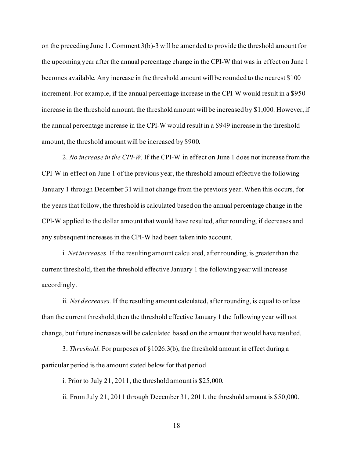on the preceding June 1. Comment 3(b)-3 will be amended to provide the threshold amount for the upcoming year after the annual percentage change in the CPI-W that was in effect on June 1 becomes available. Any increase in the threshold amount will be rounded to the nearest \$100 increment. For example, if the annual percentage increase in the CPI-W would result in a \$950 increase in the threshold amount, the threshold amount will be increased by \$1,000. However, if the annual percentage increase in the CPI-W would result in a \$949 increase in the threshold amount, the threshold amount will be increased by \$900.

2. *No increase in the CPI-W.* If the CPI-W in effect on June 1 does not increase from the CPI-W in effect on June 1 of the previous year, the threshold amount effective the following January 1 through December 31 will not change from the previous year. When this occurs, for the years that follow, the threshold is calculated based on the annual percentage change in the CPI-W applied to the dollar amount that would have resulted, after rounding, if decreases and any subsequent increases in the CPI-W had been taken into account.

i. *Net increases.* If the resulting amount calculated, after rounding, is greater than the current threshold, then the threshold effective January 1 the following year will increase accordingly.

ii. *Net decreases.* If the resulting amount calculated, after rounding, is equal to or less than the current threshold, then the threshold effective January 1 the following year will not change, but future increases will be calculated based on the amount that would have resulted.

3. *Threshold.* For purposes of §1026.3(b), the threshold amount in effect during a particular period is the amount stated below for that period.

i. Prior to July 21, 2011, the threshold amount is \$25,000.

ii. From July 21, 2011 through December 31, 2011, the threshold amount is \$50,000.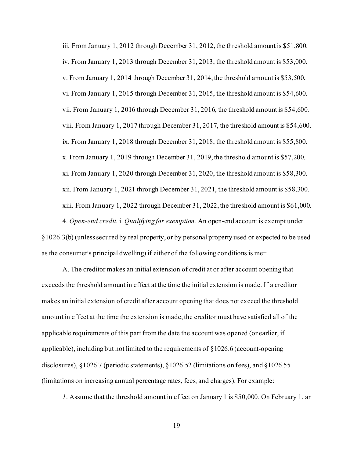iii. From January 1, 2012 through December 31, 2012, the threshold amount is \$51,800. iv. From January 1, 2013 through December 31, 2013, the threshold amount is \$53,000. v. From January 1, 2014 through December 31, 2014, the threshold amount is \$53,500. vi. From January 1, 2015 through December 31, 2015, the threshold amount is \$54,600. vii. From January 1, 2016 through December 31, 2016, the threshold amount is \$54,600. viii. From January 1, 2017 through December 31, 2017, the threshold amount is \$54,600. ix. From January 1, 2018 through December 31, 2018, the threshold amount is \$55,800. x. From January 1, 2019 through December 31, 2019, the threshold amount is \$57,200. xi. From January 1, 2020 through December 31, 2020, the threshold amount is \$58,300. xii. From January 1, 2021 through December 31, 2021, the threshold amount is \$58,300. xiii. From January 1, 2022 through December 31, 2022, the threshold amount is \$61,000. 4. *Open-end credit.* i. *Qualifying for exemption.* An open-end account is exempt under

§1026.3(b) (unless secured by real property, or by personal property used or expected to be used as the consumer's principal dwelling) if either of the following conditions is met:

A. The creditor makes an initial extension of credit at or after account opening that exceeds the threshold amount in effect at the time the initial extension is made. If a creditor makes an initial extension of credit after account opening that does not exceed the threshold amount in effect at the time the extension is made, the creditor must have satisfied all of the applicable requirements of this part from the date the account was opened (or earlier, if applicable), including but not limited to the requirements of §1026.6 (account-opening disclosures), §1026.7 (periodic statements), §1026.52 (limitations on fees), and §1026.55 (limitations on increasing annual percentage rates, fees, and charges). For example:

*1*. Assume that the threshold amount in effect on January 1 is \$50,000. On February 1, an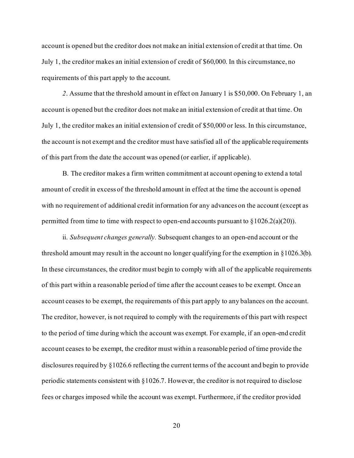account is opened but the creditor does not make an initial extension of credit at that time. On July 1, the creditor makes an initial extension of credit of \$60,000. In this circumstance, no requirements of this part apply to the account.

*2*. Assume that the threshold amount in effect on January 1 is \$50,000. On February 1, an account is opened but the creditor does not make an initial extension of credit at that time. On July 1, the creditor makes an initial extension of credit of \$50,000 or less. In this circumstance, the account is not exempt and the creditor must have satisfied all of the applicable requirements of this part from the date the account was opened (or earlier, if applicable).

B. The creditor makes a firm written commitment at account opening to extend a total amount of credit in excess of the threshold amount in effect at the time the account is opened with no requirement of additional credit information for any advances on the account (except as permitted from time to time with respect to open-end accounts pursuant to  $\S 1026.2(a)(20)$ .

ii. *Subsequent changes generally.* Subsequent changes to an open-end account or the threshold amount may result in the account no longer qualifying for the exemption in §1026.3(b). In these circumstances, the creditor must begin to comply with all of the applicable requirements of this part within a reasonable period of time after the account ceases to be exempt. Once an account ceases to be exempt, the requirements of this part apply to any balances on the account. The creditor, however, is not required to comply with the requirements of this part with respect to the period of time during which the account was exempt. For example, if an open-end credit account ceases to be exempt, the creditor must within a reasonable period of time provide the disclosures required by §1026.6 reflecting the current terms of the account and begin to provide periodic statements consistent with §1026.7. However, the creditor is not required to disclose fees or charges imposed while the account was exempt. Furthermore, if the creditor provided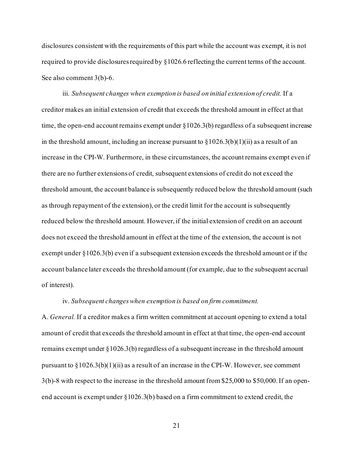disclosures consistent with the requirements of this part while the account was exempt, it is not required to provide disclosures required by §1026.6 reflecting the current terms of the account. See also comment 3(b)-6.

iii. *Subsequent changes when exemption is based on initial extension of credit.* If a creditor makes an initial extension of credit that exceeds the threshold amount in effect at that time, the open-end account remains exempt under §1026.3(b) regardless of a subsequent increase in the threshold amount, including an increase pursuant to  $\S 1026.3(b)(1)(ii)$  as a result of an increase in the CPI-W. Furthermore, in these circumstances, the account remains exempt even if there are no further extensions of credit, subsequent extensions of credit do not exceed the threshold amount, the account balance is subsequently reduced below the threshold amount (such as through repayment of the extension), or the credit limit for the account is subsequently reduced below the threshold amount. However, if the initial extension of credit on an account does not exceed the threshold amount in effect at the time of the extension, the account is not exempt under §1026.3(b) even if a subsequent extension exceeds the threshold amount or if the account balance later exceeds the threshold amount (for example, due to the subsequent accrual of interest).

### iv. *Subsequent changes when exemption is based on firm commitment.*

A. *General.* If a creditor makes a firm written commitment at account opening to extend a total amount of credit that exceeds the threshold amount in effect at that time, the open-end account remains exempt under §1026.3(b) regardless of a subsequent increase in the threshold amount pursuant to  $\S 1026.3(b)(1)(ii)$  as a result of an increase in the CPI-W. However, see comment 3(b)-8 with respect to the increase in the threshold amount from \$25,000 to \$50,000. If an openend account is exempt under  $\S 1026.3(b)$  based on a firm commitment to extend credit, the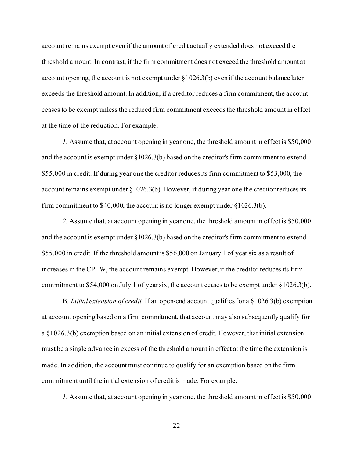account remains exempt even if the amount of credit actually extended does not exceed the threshold amount. In contrast, if the firm commitment does not exceed the threshold amount at account opening, the account is not exempt under  $\S 1026.3(b)$  even if the account balance later exceeds the threshold amount. In addition, if a creditor reduces a firm commitment, the account ceases to be exempt unless the reduced firm commitment exceeds the threshold amount in effect at the time of the reduction. For example:

*1.* Assume that, at account opening in year one, the threshold amount in effect is \$50,000 and the account is exempt under §1026.3(b) based on the creditor's firm commitment to extend \$55,000 in credit. If during year one the creditor reduces its firm commitment to \$53,000, the account remains exempt under §1026.3(b). However, if during year one the creditor reduces its firm commitment to \$40,000, the account is no longer exempt under  $\S 1026.3(b)$ .

*2.* Assume that, at account opening in year one, the threshold amount in effect is \$50,000 and the account is exempt under §1026.3(b) based on the creditor's firm commitment to extend \$55,000 in credit. If the threshold amount is \$56,000 on January 1 of year six as a result of increases in the CPI-W, the account remains exempt. However, if the creditor reduces its firm commitment to \$54,000 on July 1 of year six, the account ceases to be exempt under §1026.3(b).

B. *Initial extension of credit.* If an open-end account qualifies for a §1026.3(b) exemption at account opening based on a firm commitment, that account may also subsequently qualify for a §1026.3(b) exemption based on an initial extension of credit. However, that initial extension must be a single advance in excess of the threshold amount in effect at the time the extension is made. In addition, the account must continue to qualify for an exemption based on the firm commitment until the initial extension of credit is made. For example:

*1.* Assume that, at account opening in year one, the threshold amount in effect is \$50,000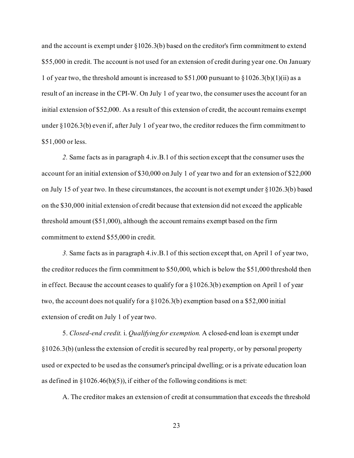and the account is exempt under §1026.3(b) based on the creditor's firm commitment to extend \$55,000 in credit. The account is not used for an extension of credit during year one. On January 1 of year two, the threshold amount is increased to  $$51,000$  pursuant to  $$1026.3(b)(1)(ii)$  as a result of an increase in the CPI-W. On July 1 of year two, the consumer uses the account for an initial extension of \$52,000. As a result of this extension of credit, the account remains exempt under §1026.3(b) even if, after July 1 of year two, the creditor reduces the firm commitment to \$51,000 or less.

*2.* Same facts as in paragraph 4.iv.B.1 of this section except that the consumer uses the account for an initial extension of \$30,000 on July 1 of year two and for an extension of \$22,000 on July 15 of year two. In these circumstances, the account is not exempt under  $\S 1026.3(b)$  based on the \$30,000 initial extension of credit because that extension did not exceed the applicable threshold amount (\$51,000), although the account remains exempt based on the firm commitment to extend \$55,000 in credit.

*3.* Same facts as in paragraph 4.iv.B.1 of this section except that, on April 1 of year two, the creditor reduces the firm commitment to \$50,000, which is below the \$51,000 threshold then in effect. Because the account ceases to qualify for a  $\S 1026.3(b)$  exemption on April 1 of year two, the account does not qualify for a §1026.3(b) exemption based on a \$52,000 initial extension of credit on July 1 of year two.

5. *Closed-end credit.* i. *Qualifying for exemption.* A closed-end loan is exempt under §1026.3(b) (unless the extension of credit is secured by real property, or by personal property used or expected to be used as the consumer's principal dwelling; or is a private education loan as defined in  $\S 1026.46(b)(5)$ , if either of the following conditions is met:

A. The creditor makes an extension of credit at consummation that exceeds the threshold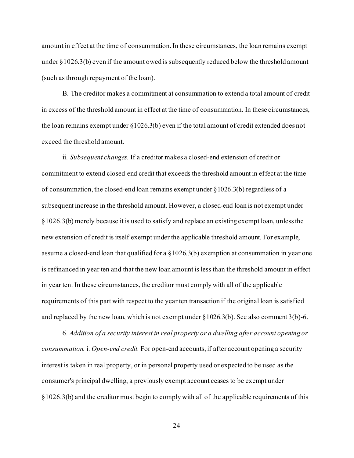amount in effect at the time of consummation. In these circumstances, the loan remains exempt under §1026.3(b) even if the amount owed is subsequently reduced below the threshold amount (such as through repayment of the loan).

B. The creditor makes a commitment at consummation to extend a total amount of credit in excess of the threshold amount in effect at the time of consummation. In these circumstances, the loan remains exempt under §1026.3(b) even if the total amount of credit extended does not exceed the threshold amount.

ii. *Subsequent changes.* If a creditor makes a closed-end extension of credit or commitment to extend closed-end credit that exceeds the threshold amount in effect at the time of consummation, the closed-end loan remains exempt under §1026.3(b) regardless of a subsequent increase in the threshold amount. However, a closed-end loan is not exempt under §1026.3(b) merely because it is used to satisfy and replace an existing exempt loan, unless the new extension of credit is itself exempt under the applicable threshold amount. For example, assume a closed-end loan that qualified for a §1026.3(b) exemption at consummation in year one is refinanced in year ten and that the new loan amount is less than the threshold amount in effect in year ten. In these circumstances, the creditor must comply with all of the applicable requirements of this part with respect to the year ten transaction if the original loan is satisfied and replaced by the new loan, which is not exempt under  $\S 1026.3(b)$ . See also comment 3(b)-6.

6. *Addition of a security interest in real property or a dwelling after account opening or consummation.* i. *Open-end credit.* For open-end accounts, if after account opening a security interest is taken in real property, or in personal property used or expected to be used as the consumer's principal dwelling, a previously exempt account ceases to be exempt under  $§1026.3(b)$  and the creditor must begin to comply with all of the applicable requirements of this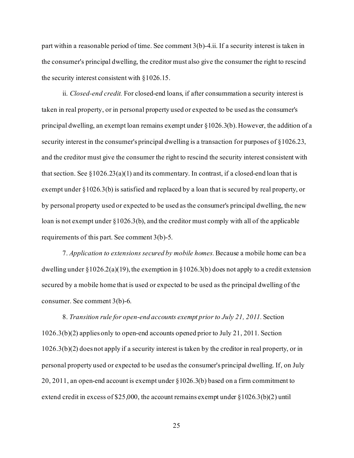part within a reasonable period of time. See comment 3(b)-4.ii. If a security interest is taken in the consumer's principal dwelling, the creditor must also give the consumer the right to rescind the security interest consistent with §1026.15.

ii. *Closed-end credit.* For closed-end loans, if after consummation a security interest is taken in real property, or in personal property used or expected to be used as the consumer's principal dwelling, an exempt loan remains exempt under §1026.3(b). However, the addition of a security interest in the consumer's principal dwelling is a transaction for purposes of §1026.23, and the creditor must give the consumer the right to rescind the security interest consistent with that section. See  $\S 1026.23(a)(1)$  and its commentary. In contrast, if a closed-end loan that is exempt under §1026.3(b) is satisfied and replaced by a loan that is secured by real property, or by personal property used or expected to be used as the consumer's principal dwelling, the new loan is not exempt under §1026.3(b), and the creditor must comply with all of the applicable requirements of this part. See comment 3(b)-5.

7. *Application to extensions secured by mobile homes.*Because a mobile home can be a dwelling under  $\S 1026.2(a)(19)$ , the exemption in  $\S 1026.3(b)$  does not apply to a credit extension secured by a mobile home that is used or expected to be used as the principal dwelling of the consumer. See comment 3(b)-6.

8. *Transition rule for open-end accounts exempt prior to July 21, 2011.* Section 1026.3(b)(2) applies only to open-end accounts opened prior to July 21, 2011. Section 1026.3(b)(2) does not apply if a security interest is taken by the creditor in real property, or in personal property used or expected to be used as the consumer's principal dwelling. If, on July 20, 2011, an open-end account is exempt under §1026.3(b) based on a firm commitment to extend credit in excess of \$25,000, the account remains exempt under  $\S 1026.3(b)(2)$  until